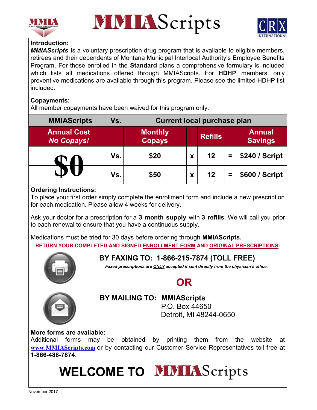





## **Introduction:**

*MMIAScripts* is a voluntary prescription drug program that is available to eligible members, retirees and their dependents of Montana Municipal Interlocal Authority's Employee Benefits Program. For those enrolled in the **Standard** plans a comprehensive formulary is included which lists all medications offered through MMIAScripts. For **HDHP** members, only preventive medications are available through this program. Please see the limited HDHP list included.

## **Copayments:**

All member copayments have been waived for this program only.

| <b>MMIAScripts</b>                      | Vs. | <b>Current local purchase plan</b> |   |                |          |                                 |  |
|-----------------------------------------|-----|------------------------------------|---|----------------|----------|---------------------------------|--|
| <b>Annual Cost</b><br><b>No Copays!</b> |     | <b>Monthly</b><br><b>Copays</b>    |   | <b>Refills</b> |          | <b>Annual</b><br><b>Savings</b> |  |
|                                         | Vs. | \$20                               | Х | 12             | $\equiv$ | \$240 / Script                  |  |
|                                         | Vs. | \$50                               | Х | 12             | =        | \$600 / Script                  |  |

## **Ordering Instructions:**

To place your first order simply complete the enrollment form and include a new prescription for each medication. Please allow 4 weeks for delivery.

Ask your doctor for a prescription for a **3 month supply** with **3 refills**. We will call you prior to each renewal to ensure that you have a continuous supply.

Medications must be tried for 30 days before ordering through **MMIAScripts.** 

**RETURN YOUR COMPLETED AND SIGNED ENROLLMENT FORM AND ORIGINAL PRESCRIPTIONS:**



# **OR**

**BY FAXING TO: 1-866-215-7874 (TOLL FREE)**

*Faxed prescriptions are ONLY accepted if sent directly from the physician's office.*



**BY MAILING TO: MMIAScripts**

P.O. Box 44650 Detroit, MI 48244-0650

## **More forms are available:**

Additional forms may be obtained by printing them from the website at **www.MMIAScripts.com** or by contacting our Customer Service Representatives toll free at **1-866-488-7874**.

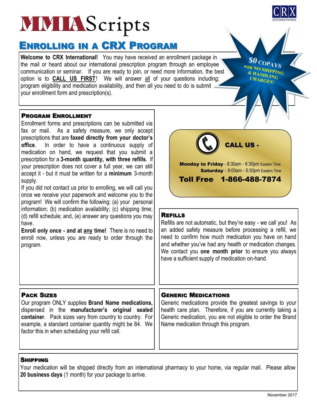# **MMIAScripts**

# ENROLLING IN A CRX PROGRAM

**Welcome to CRX International!** You may have received an enrollment package in the mail or heard about our international prescription program through an employee communication or seminar. If you are ready to join, or need more information, the best option is to **CALL US FIRST**! We will answer all of your questions including; program eligibility and medication availability, and then all you need to do is submit your enrollment form and prescription(s).

#### PROGRAM ENROLLMENT

Enrollment forms and prescriptions can be submitted via fax or mail. As a safety measure, we only accept prescriptions that are **faxed directly from your doctor's office**. In order to have a continuous supply of medication on hand, we request that you submit a prescription for a **3-month quantity, with three refills**. If your prescription does not cover a full year, we can still accept it - but it must be written for a **minimum** 3-month supply.

If you did not contact us prior to enrolling, we will call you once we receive your paperwork and welcome you to the program! We will confirm the following: (a) your personal information; (b) medication availability; (c) shipping time; (d) refill schedule; and, (e) answer any questions you may have.

**Enroll only once - and at any time!** There is no need to enroll now, unless you are ready to order through the program.

#### REFILLS

Refills are not automatic, but they're easy - we call you! As an added safety measure before processing a refill, we need to confirm how much medication you have on hand and whether you've had any health or medication changes. We contact you **one month prior** to ensure you always have a sufficient supply of medication on-hand.

CALL US -

Saturday - 9:00am - 5:30pm Eastern Time

Monday to Friday - 8:30am - 6:30pm Eastern Time

Toll Free 1-866-488-7874

#### PACK SIZES

Our program ONLY supplies **Brand Name medications,**  dispensed in the **manufacturer's original sealed container**.Pack sizes vary from country to country. For example, a standard container quantity might be 84. We factor this in when scheduling your refill call.

#### GENERIC MEDICATIONS

Generic medications provide the greatest savings to your health care plan. Therefore, if you are currently taking a Generic medication, you are not eligible to order the Brand Name medication through this program.

#### SHIPPING

Your medication will be shipped directly from an international pharmacy to your home, via regular mail. Please allow **20 business days** (1 month) for your package to arrive.



**\$0 COPAYS** With NO SHIPPING **EXAMPLING CHARGES!**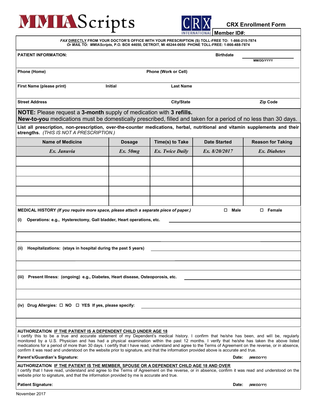# **MMIAScripts**



**CRX Enrollment Form**

| FAX DIRECTLY FROM YOUR DOCTOR'S OFFICE WITH YOUR PRESCRIPTION (S) TOLL-FREE TO: 1-866-215-7874<br>Or MAIL TO: MMIAScripts, P.O. BOX 44650, DETROIT, MI 48244-0650 PHONE TOLL-FREE: 1-866-488-7874                                                                                                                                                                                                                                                                                                                                                                                                                                                                       |                |                             |                     |                          |  |  |  |  |  |
|-------------------------------------------------------------------------------------------------------------------------------------------------------------------------------------------------------------------------------------------------------------------------------------------------------------------------------------------------------------------------------------------------------------------------------------------------------------------------------------------------------------------------------------------------------------------------------------------------------------------------------------------------------------------------|----------------|-----------------------------|---------------------|--------------------------|--|--|--|--|--|
| <b>PATIENT INFORMATION:</b>                                                                                                                                                                                                                                                                                                                                                                                                                                                                                                                                                                                                                                             |                |                             | <b>Birthdate</b>    | MM/DD/YYYY               |  |  |  |  |  |
| Phone (Home)                                                                                                                                                                                                                                                                                                                                                                                                                                                                                                                                                                                                                                                            |                | <b>Phone (Work or Cell)</b> |                     |                          |  |  |  |  |  |
| First Name (please print)                                                                                                                                                                                                                                                                                                                                                                                                                                                                                                                                                                                                                                               | <b>Initial</b> | <b>Last Name</b>            |                     |                          |  |  |  |  |  |
| <b>Street Address</b>                                                                                                                                                                                                                                                                                                                                                                                                                                                                                                                                                                                                                                                   |                | City/State                  |                     | <b>Zip Code</b>          |  |  |  |  |  |
| <b>NOTE:</b> Please request a 3-month supply of medication with 3 refills.<br>New-to-you medications must be domestically prescribed, filled and taken for a period of no less than 30 days.                                                                                                                                                                                                                                                                                                                                                                                                                                                                            |                |                             |                     |                          |  |  |  |  |  |
| List all prescription, non-prescription, over-the-counter medications, herbal, nutritional and vitamin supplements and their<br>strengths. (THIS IS NOT A PRESCRIPTION.)                                                                                                                                                                                                                                                                                                                                                                                                                                                                                                |                |                             |                     |                          |  |  |  |  |  |
| <b>Name of Medicine</b>                                                                                                                                                                                                                                                                                                                                                                                                                                                                                                                                                                                                                                                 | <b>Dosage</b>  | Time(s) to Take             | <b>Date Started</b> | <b>Reason for Taking</b> |  |  |  |  |  |
| Ex. Januvia                                                                                                                                                                                                                                                                                                                                                                                                                                                                                                                                                                                                                                                             | Ex.50mg        | Ex. Twice Daily             | Ex. 8/20/2017       | Ex. Diabetes             |  |  |  |  |  |
|                                                                                                                                                                                                                                                                                                                                                                                                                                                                                                                                                                                                                                                                         |                |                             |                     |                          |  |  |  |  |  |
|                                                                                                                                                                                                                                                                                                                                                                                                                                                                                                                                                                                                                                                                         |                |                             |                     |                          |  |  |  |  |  |
|                                                                                                                                                                                                                                                                                                                                                                                                                                                                                                                                                                                                                                                                         |                |                             |                     |                          |  |  |  |  |  |
|                                                                                                                                                                                                                                                                                                                                                                                                                                                                                                                                                                                                                                                                         |                |                             |                     |                          |  |  |  |  |  |
|                                                                                                                                                                                                                                                                                                                                                                                                                                                                                                                                                                                                                                                                         |                |                             |                     |                          |  |  |  |  |  |
| MEDICAL HISTORY (If you require more space, please attach a separate piece of paper.)                                                                                                                                                                                                                                                                                                                                                                                                                                                                                                                                                                                   |                |                             | Male<br>□           | $\square$ Female         |  |  |  |  |  |
| Operations: e.g., Hysterectomy, Gall bladder, Heart operations, etc.<br>(i)                                                                                                                                                                                                                                                                                                                                                                                                                                                                                                                                                                                             |                |                             |                     |                          |  |  |  |  |  |
|                                                                                                                                                                                                                                                                                                                                                                                                                                                                                                                                                                                                                                                                         |                |                             |                     |                          |  |  |  |  |  |
|                                                                                                                                                                                                                                                                                                                                                                                                                                                                                                                                                                                                                                                                         |                |                             |                     |                          |  |  |  |  |  |
| Hospitalizations: (stays in hospital during the past 5 years)<br>(ii)                                                                                                                                                                                                                                                                                                                                                                                                                                                                                                                                                                                                   |                |                             |                     |                          |  |  |  |  |  |
|                                                                                                                                                                                                                                                                                                                                                                                                                                                                                                                                                                                                                                                                         |                |                             |                     |                          |  |  |  |  |  |
|                                                                                                                                                                                                                                                                                                                                                                                                                                                                                                                                                                                                                                                                         |                |                             |                     |                          |  |  |  |  |  |
| (iii) Present Illness: (ongoing) e.g., Diabetes, Heart disease, Osteoporosis, etc.                                                                                                                                                                                                                                                                                                                                                                                                                                                                                                                                                                                      |                |                             |                     |                          |  |  |  |  |  |
|                                                                                                                                                                                                                                                                                                                                                                                                                                                                                                                                                                                                                                                                         |                |                             |                     |                          |  |  |  |  |  |
|                                                                                                                                                                                                                                                                                                                                                                                                                                                                                                                                                                                                                                                                         |                |                             |                     |                          |  |  |  |  |  |
| (iv) Drug Allergies: $\Box$ NO $\Box$ YES If yes, please specify:                                                                                                                                                                                                                                                                                                                                                                                                                                                                                                                                                                                                       |                |                             |                     |                          |  |  |  |  |  |
|                                                                                                                                                                                                                                                                                                                                                                                                                                                                                                                                                                                                                                                                         |                |                             |                     |                          |  |  |  |  |  |
|                                                                                                                                                                                                                                                                                                                                                                                                                                                                                                                                                                                                                                                                         |                |                             |                     |                          |  |  |  |  |  |
| AUTHORIZATION <u>IF THE PATIENT IS A DEPENDENT CHILD UNDER AGE 18</u><br>I certify this to be a true and accurate statement of my Dependent's medical history. I confirm that he/she has been, and will be, regularly<br>monitored by a U.S. Physician and has had a physical examination within the past 12 months. I verify that he/she has taken the above listed<br>medications for a period of more than 30 days. I certify that I have read, understand and agree to the Terms of Agreement on the reverse, or in absence,<br>confirm it was read and understood on the website prior to signature, and that the information provided above is accurate and true. |                |                             |                     |                          |  |  |  |  |  |
| Parent's/Guardian's Signature:<br>Date:<br>(MM/DD/YY)                                                                                                                                                                                                                                                                                                                                                                                                                                                                                                                                                                                                                   |                |                             |                     |                          |  |  |  |  |  |
| AUTHORIZATION IF THE PATIENT IS THE MEMBER, SPOUSE OR A DEPENDENT CHILD AGE 18 AND OVER<br>certify that I have read, understand and agree to the Terms of Agreement on the reverse, or in absence, confirm it was read and understood on the<br>website prior to signature, and that the information provided by me is accurate and true.                                                                                                                                                                                                                                                                                                                               |                |                             |                     |                          |  |  |  |  |  |
| <b>Patient Signature:</b>                                                                                                                                                                                                                                                                                                                                                                                                                                                                                                                                                                                                                                               |                |                             | Date:               | (MM/DD/YY)               |  |  |  |  |  |